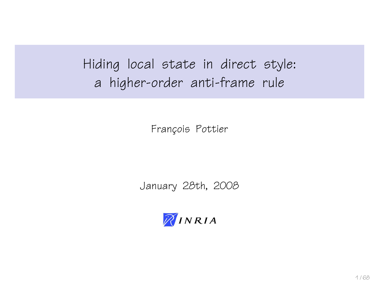Hiding local state in direct style: a higher-order anti-frame rule

François Pottier

January 28th, 2008

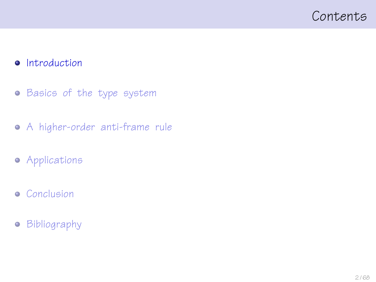### <span id="page-1-0"></span>Contents

#### **•** [Introduction](#page-1-0)

- **•** [Basics of the type system](#page-11-0)
- [A higher-order anti-frame rule](#page-22-0)
- **•** [Applications](#page-45-0)
- **•** [Conclusion](#page-57-0)
- **•** [Bibliography](#page-65-0)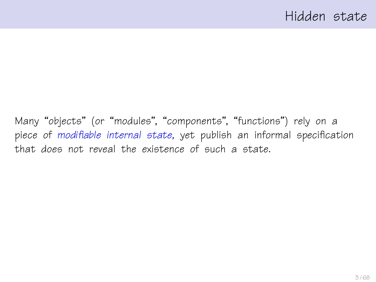Many "objects" (or "modules", "components", "functions") rely on a piece of modifiable internal state, yet publish an informal specification that does not reveal the existence of such a state.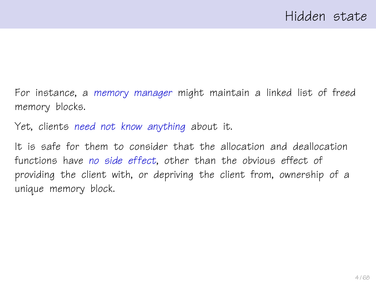For instance, a memory manager might maintain a linked list of freed memory blocks.

Yet, clients need not know anything about it.

It is safe for them to consider that the allocation and deallocation functions have no side effect, other than the obvious effect of providing the client with, or depriving the client from, ownership of a unique memory block.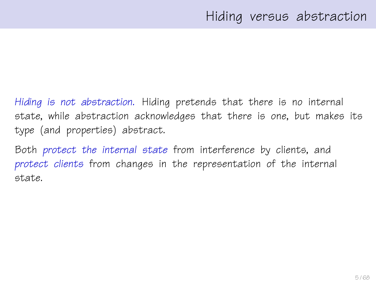Hiding is not abstraction. Hiding pretends that there is no internal state, while abstraction acknowledges that there is one, but makes its type (and properties) abstract.

Both protect the internal state from interference by clients, and protect clients from changes in the representation of the internal state.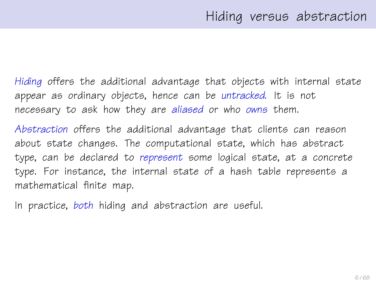Hiding offers the additional advantage that objects with internal state appear as ordinary objects, hence can be untracked. It is not necessary to ask how they are aliased or who owns them.

Abstraction offers the additional advantage that clients can reason about state changes. The computational state, which has abstract type, can be declared to represent some logical state, at a concrete type. For instance, the internal state of a hash table represents a mathematical finite map.

In practice, both hiding and abstraction are useful.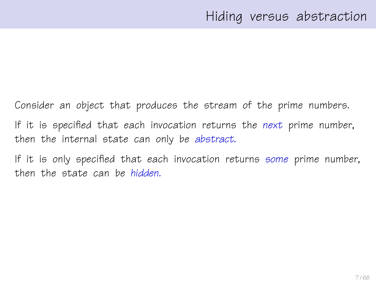Consider an object that produces the stream of the prime numbers. If it is specified that each invocation returns the next prime number, then the internal state can only be abstract.

If it is only specified that each invocation returns some prime number, then the state can be hidden.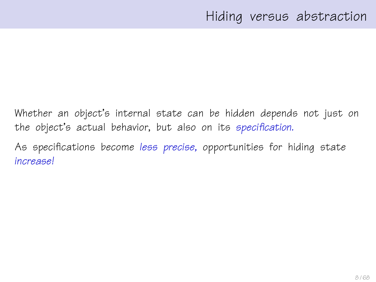Whether an object's internal state can be hidden depends not just on the object's actual behavior, but also on its specification.

As specifications become less precise, opportunities for hiding state increase!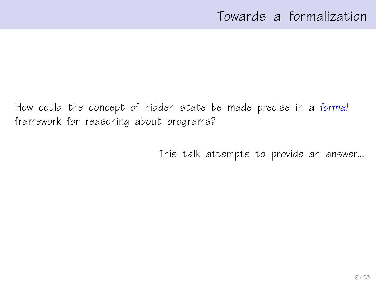How could the concept of hidden state be made precise in a formal framework for reasoning about programs?

This talk attempts to provide an answer...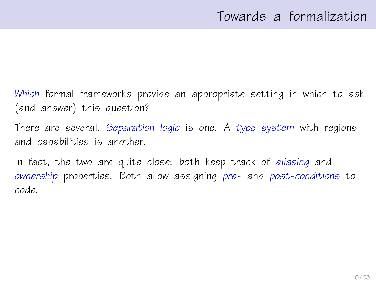Which formal frameworks provide an appropriate setting in which to ask (and answer) this question?

There are several. Separation logic is one. A type system with regions and capabilities is another.

In fact, the two are quite close: both keep track of aliasing and ownership properties. Both allow assigning pre- and post-conditions to code.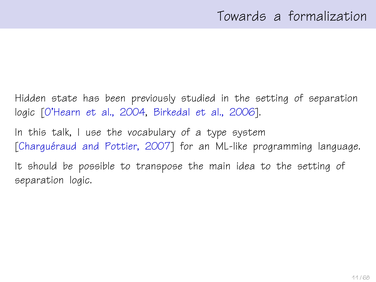Hidden state has been previously studied in the setting of separation logic [\[O'Hearn et al., 2004,](#page-66-0) [Birkedal et al., 2006\]](#page-66-1).

In this talk, I use the vocabulary of a type system [Charguéraud and Pottier, 2007] for an ML-like programming language.

It should be possible to transpose the main idea to the setting of separation logic.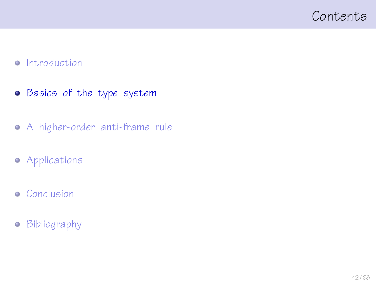### <span id="page-11-0"></span>Contents

#### • [Introduction](#page-1-0)

- **•** [Basics of the type system](#page-11-0)
- [A higher-order anti-frame rule](#page-22-0)
- **•** [Applications](#page-45-0)
- **•** [Conclusion](#page-57-0)
- **•** [Bibliography](#page-65-0)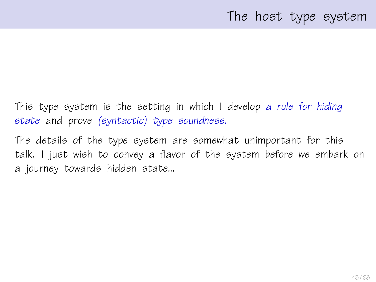This type system is the setting in which I develop a rule for hiding state and prove (syntactic) type soundness.

The details of the type system are somewhat unimportant for this talk. I just wish to convey a flavor of the system before we embark on a journey towards hidden state...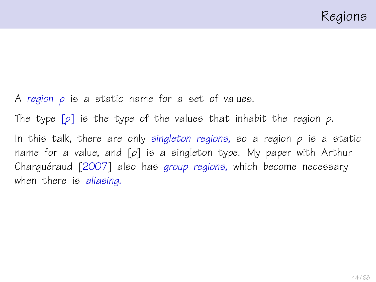A region  $\rho$  is a static name for a set of values. The type  $[\rho]$  is the type of the values that inhabit the region  $\rho$ . In this talk, there are only singleton regions, so a region  $\rho$  is a static name for a value, and  $[\rho]$  is a singleton type. My paper with Arthur Charguéraud  $[2007]$  $[2007]$  also has group regions, which become necessary when there is aliasing.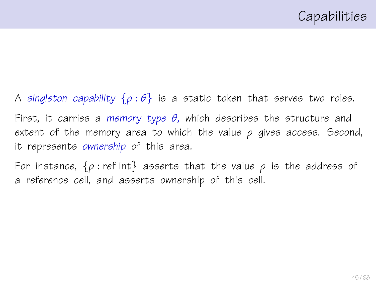A singleton capability  $\{\rho : \theta\}$  is a static token that serves two roles. First, it carries a memory type  $\theta$ , which describes the structure and extent of the memory area to which the value  $\rho$  gives access. Second, it represents ownership of this area.

For instance,  $\{\rho : \text{ref int}\}$  asserts that the value  $\rho$  is the address of a reference cell, and asserts ownership of this cell.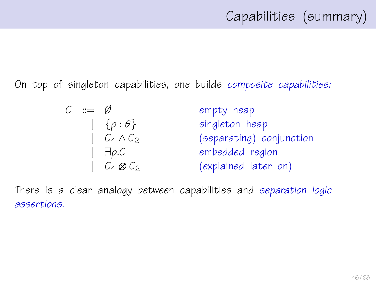On top of singleton capabilities, one builds composite capabilities:

$$
C ::= \emptyset \qquad \text{empty heap}
$$
\n
$$
[ \begin{array}{ccc} \{ \rho : \theta \} & \text{singleton heap} \\ \{ C_1 \land C_2 \} & \text{(separating) conjunction} \\ \{ \end{array} \}
$$
\n
$$
[ \begin{array}{ccc} \exists \rho. C & \text{embedding} \\ \{ C_4 \otimes C_2 \} & \text{(explained later on)} \end{array} ]
$$

There is a clear analogy between capabilities and separation logic assertions.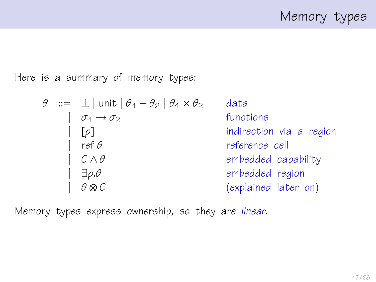Memory types

Here is a summary of memory types:

| $\theta$ | :=                              | $\bot$   unit   $\theta_1 + \theta_2$   $\theta_1 \times \theta_2$ | data |
|----------|---------------------------------|--------------------------------------------------------------------|------|
|          | $\sigma_1 \rightarrow \sigma_2$ | functions                                                          |      |
|          | [ $\rho$ ]                      | indirection via a region                                           |      |
|          | $\sigma_1 \rightarrow \sigma_2$ | reference cell                                                     |      |
|          | $\sigma_1 \land \theta$         | embedded capability                                                |      |
|          | $\exists \rho. \theta$          | embedded region                                                    |      |
|          | $\theta \otimes C$              | (explained later on)                                               |      |

Memory types express ownership, so they are linear.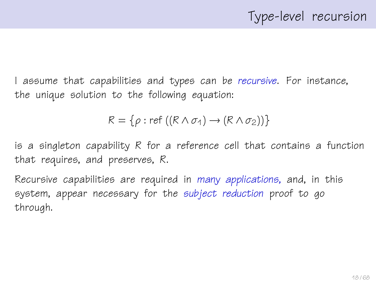I assume that capabilities and types can be recursive. For instance, the unique solution to the following equation:

$$
R = \{ \rho : \text{ref } ((R \wedge \sigma_1) \rightarrow (R \wedge \sigma_2)) \}
$$

is a singleton capability R for a reference cell that contains a function that requires, and preserves, R.

Recursive capabilities are required in many applications, and, in this system, appear necessary for the subject reduction proof to go through.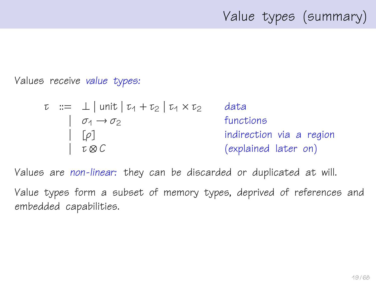# Value types (summary)

Values receive value types:

$$
\tau ::= \bot | \text{unit} | \tau_1 + \tau_2 | \tau_1 \times \tau_2
$$
 data  
\n
$$
| \sigma_1 \rightarrow \sigma_2
$$
 functions  
\n
$$
| \tau \otimes C
$$
 (explained later on)

Values are non-linear: they can be discarded or duplicated at will.

Value types form a subset of memory types, deprived of references and embedded capabilities.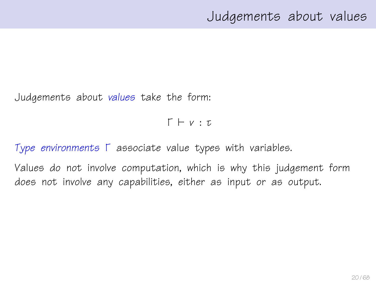## Judgements about values

Judgements about values take the form:

 $\Gamma \vdash v : \tau$ 

Type environments Γ associate value types with variables.

Values do not involve computation, which is why this judgement form does not involve any capabilities, either as input or as output.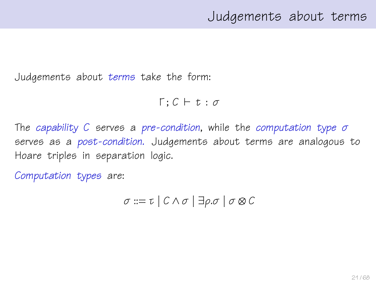Judgements about terms take the form:

 $Γ : C ⊢ t : σ$ 

The capability C serves a pre-condition, while the computation type  $\sigma$ serves as a post-condition. Judgements about terms are analogous to Hoare triples in separation logic.

Computation types are:

$$
\sigma ::= \tau \mid C \wedge \sigma \mid \exists \rho. \sigma \mid \sigma \otimes C
$$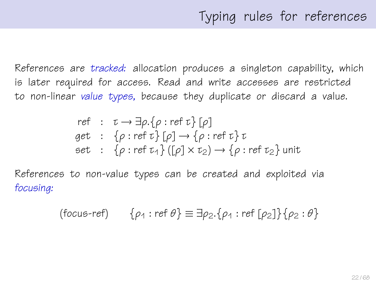References are tracked: allocation produces a singleton capability, which is later required for access. Read and write accesses are restricted to non-linear value types, because they duplicate or discard a value.

ref : 
$$
\tau \rightarrow \exists \rho . \{\rho : \text{ref } \tau\} [\rho]
$$
  
get : { $\rho : \text{ref } \tau\} [\rho] \rightarrow \{\rho : \text{ref } \tau\} \tau$   
set : { $\rho : \text{ref } \tau_1\} ([\rho] \times \tau_2) \rightarrow \{\rho : \text{ref } \tau_2\}$ unit

References to non-value types can be created and exploited via focusing:

$$
(\text{focus-ref}) \qquad \{ \rho_1 : \text{ref } \theta \} \equiv \exists \rho_2. \{ \rho_1 : \text{ref } [\rho_2] \} \{ \rho_2 : \theta \}
$$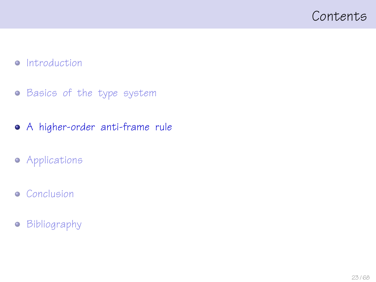### <span id="page-22-0"></span>Contents

#### • [Introduction](#page-1-0)

- **•** [Basics of the type system](#page-11-0)
- [A higher-order anti-frame rule](#page-22-0)
- **•** [Applications](#page-45-0)
- **•** [Conclusion](#page-57-0)
- **•** [Bibliography](#page-65-0)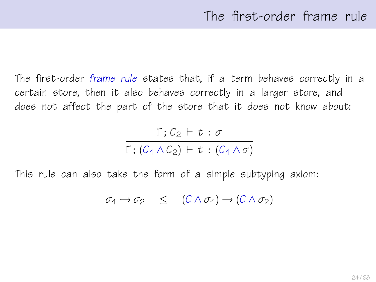The first-order frame rule states that, if a term behaves correctly in a certain store, then it also behaves correctly in a larger store, and does not affect the part of the store that it does not know about:

$$
\frac{\Gamma\,;\,C_2\,\vdash\,t\,:\,\sigma}{\Gamma\,;\, (C_1\wedge C_2)\,\vdash\,t\,:\, (C_1\wedge\sigma)}
$$

This rule can also take the form of a simple subtyping axiom:

$$
\sigma_1 \to \sigma_2 \quad \leq \quad (C \wedge \sigma_1) \to (C \wedge \sigma_2)
$$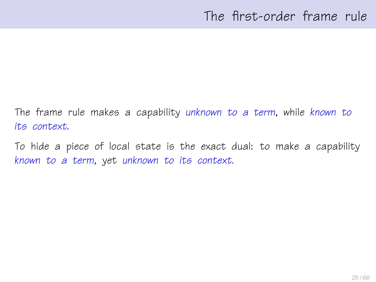The frame rule makes a capability unknown to a term, while known to its context.

To hide a piece of local state is the exact dual: to make a capability known to a term, yet unknown to its context.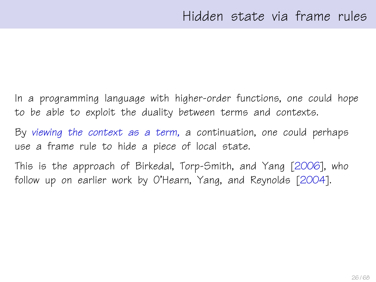In a programming language with higher-order functions, one could hope to be able to exploit the duality between terms and contexts.

By viewing the context as a term, a continuation, one could perhaps use a frame rule to hide a piece of local state.

This is the approach of Birkedal, Torp-Smith, and Yang [\[2006\]](#page-66-1), who follow up on earlier work by O'Hearn, Yang, and Reynolds [\[2004\]](#page-66-0).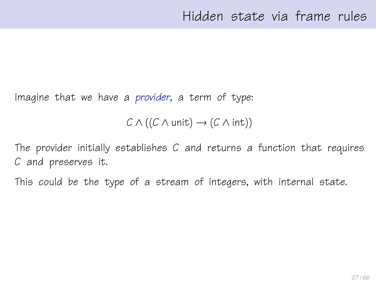Imagine that we have a provider, a term of type:

 $C \wedge ((C \wedge \text{unit}) \rightarrow (C \wedge \text{int}))$ 

The provider initially establishes  $C$  and returns a function that requires C and preserves it.

This could be the type of a stream of integers, with internal state.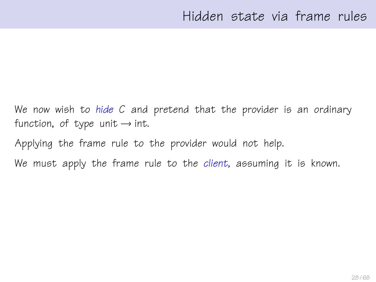We now wish to hide C and pretend that the provider is an ordinary function, of type unit  $\rightarrow$  int.

Applying the frame rule to the provider would not help.

We must apply the frame rule to the client, assuming it is known.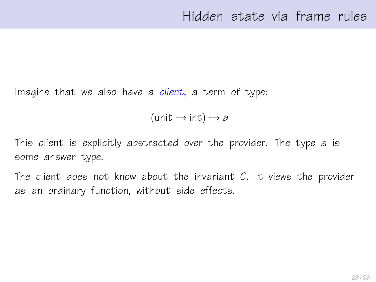Imagine that we also have a client, a term of type:

 $(\text{unit} \rightarrow \text{int}) \rightarrow a$ 

This client is explicitly abstracted over the provider. The type a is some answer type.

The client does not know about the invariant  $C$ . It views the provider as an ordinary function, without side effects.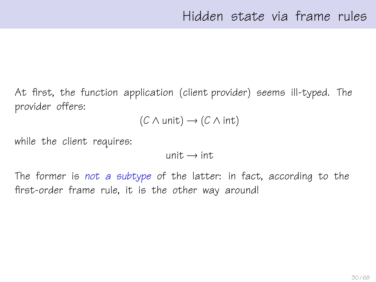At first, the function application (client provider) seems ill-typed. The provider offers:

$$
(\mathcal{C} \wedge \mathsf{unit}) \rightarrow (\mathcal{C} \wedge \mathsf{int})
$$

while the client requires:

 $unit \rightarrow int$ .

The former is not a subtype of the latter: in fact, according to the first-order frame rule, it is the other way around!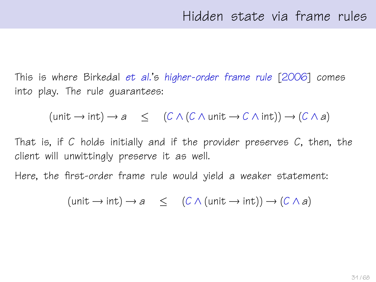This is where Birkedal et al.'s higher-order frame rule [\[2006\]](#page-66-1) comes into play. The rule guarantees:

 $(\text{unit} \rightarrow \text{int}) \rightarrow a \leq (C \wedge (C \wedge \text{unit} \rightarrow C \wedge \text{int})) \rightarrow (C \wedge a)$ 

That is, if C holds initially and if the provider preserves  $C$ , then, the client will unwittingly preserve it as well.

Here, the first-order frame rule would yield a weaker statement:

 $(\text{unit} \rightarrow \text{int}) \rightarrow a \leq (C \wedge (\text{unit} \rightarrow \text{int})) \rightarrow (C \wedge a)$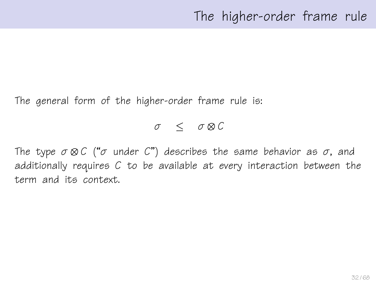The general form of the higher-order frame rule is:

#### $\sigma$  <  $\sigma \otimes C$

The type  $\sigma \otimes C$  (" $\sigma$  under C") describes the same behavior as  $\sigma$ , and additionally requires C to be available at every interaction between the term and its context.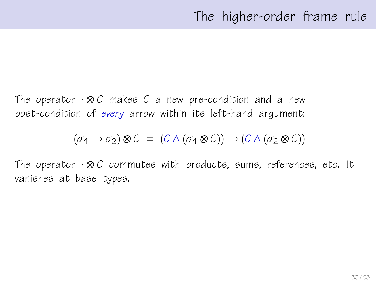The operator  $\cdot \otimes C$  makes C a new pre-condition and a new post-condition of every arrow within its left-hand argument:

$$
(\sigma_1 \to \sigma_2) \otimes C = (C \wedge (\sigma_1 \otimes C)) \to (C \wedge (\sigma_2 \otimes C))
$$

The operator  $\cdot \otimes C$  commutes with products, sums, references, etc. It vanishes at base types.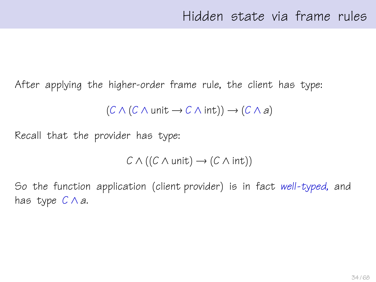After applying the higher-order frame rule, the client has type:

$$
(C \wedge (C \wedge \text{unit} \rightarrow C \wedge \text{int})) \rightarrow (C \wedge a)
$$

Recall that the provider has type:

$$
C \wedge ((C \wedge \mathsf{unit}) \rightarrow (C \wedge \mathsf{int}))
$$

So the function application (client provider) is in fact well-typed, and has type  $C \wedge a$ .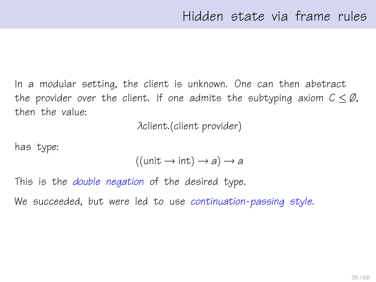In a modular setting, the client is unknown. One can then abstract the provider over the client. If one admits the subtyping axiom  $C \leq \emptyset$ , then the value:

λclient.(client provider)

has type:

$$
((unit \rightarrow int) \rightarrow a) \rightarrow a
$$

This is the *double negation* of the desired type.

We succeeded, but were led to use continuation-passing style.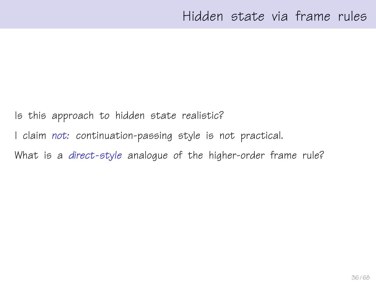Is this approach to hidden state realistic?

I claim not: continuation-passing style is not practical.

What is a direct-style analoque of the higher-order frame rule?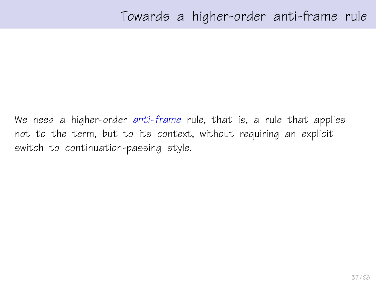We need a higher-order anti-frame rule, that is, a rule that applies not to the term, but to its context, without requiring an explicit switch to continuation-passing style.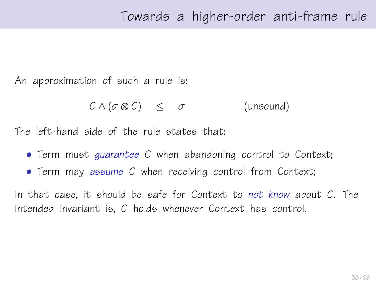An approximation of such a rule is:

$$
C \wedge (\sigma \otimes C) \leq \sigma \qquad \qquad \text{(unsound)}
$$

The left-hand side of the rule states that:

- Term must quarantee C when abandoning control to Context;
- Term may assume C when receiving control from Context;

In that case, it should be safe for Context to not know about  $C$ . The intended invariant is, C holds whenever Context has control.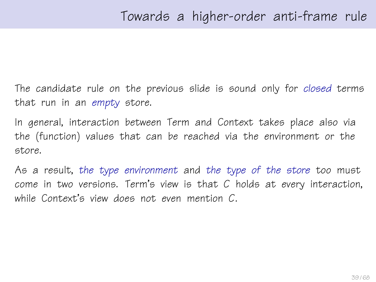The candidate rule on the previous slide is sound only for closed terms that run in an empty store.

In general, interaction between Term and Context takes place also via the (function) values that can be reached via the environment or the store.

As a result, the type environment and the type of the store too must come in two versions. Term's view is that C holds at every interaction, while Context's view does not even mention C.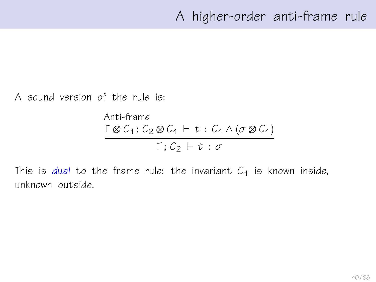A sound version of the rule is:

Anti-frame  $\Gamma \otimes C_1$ ;  $C_2 \otimes C_1 \vdash t : C_1 \wedge (\sigma \otimes C_1)$  $\Gamma: C_2 \vdash t : \sigma$ 

This is dual to the frame rule: the invariant  $C_1$  is known inside, unknown outside.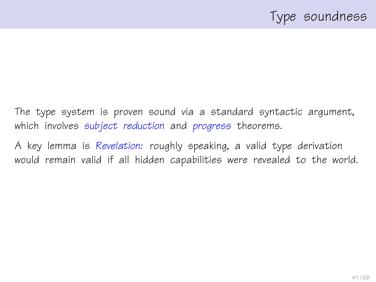The type system is proven sound via a standard syntactic argument, which involves subject reduction and progress theorems.

A key lemma is Revelation: roughly speaking, a valid type derivation would remain valid if all hidden capabilities were revealed to the world.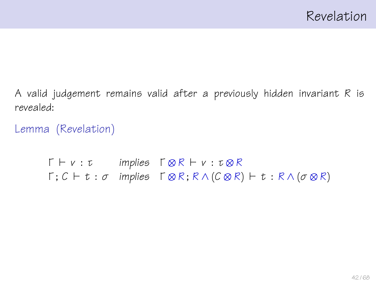A valid judgement remains valid after a previously hidden invariant R is revealed:

Lemma (Revelation)

 $\Gamma \vdash v : \tau$  implies  $\Gamma \otimes R \vdash v : \tau \otimes R$  $\Gamma \colon C \vdash t : \sigma$  implies  $\Gamma \otimes R$ ;  $R \wedge (C \otimes R) \vdash t : R \wedge (\sigma \otimes R)$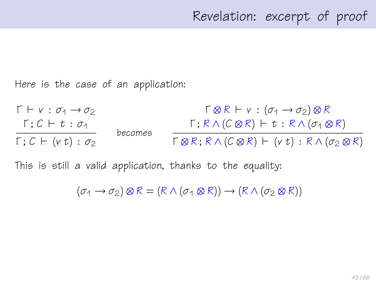Here is the case of an application:

 $\Gamma \vdash v : \sigma_1 \rightarrow \sigma_2$  $Γ$ ;  $C ⊢ t : σ<sub>1</sub>$  $Γ$ ;  $C$   $\vdash$  ( $v$  t) : σ<sub>2</sub> becomes  $\Gamma \otimes R \vdash v : (\sigma_1 \rightarrow \sigma_2) \otimes R$  $\Gamma$ ;  $R \wedge (C \otimes R)$   $\vdash t : R \wedge (\sigma_1 \otimes R)$  $\Gamma \otimes R$ ;  $R \wedge (C \otimes R)$   $\vdash$  (v t) :  $R \wedge (\sigma_2 \otimes R)$ 

This is still a valid application, thanks to the equality:

 $(\sigma_1 \rightarrow \sigma_2) \otimes R = (R \wedge (\sigma_1 \otimes R)) \rightarrow (R \wedge (\sigma_2 \otimes R))$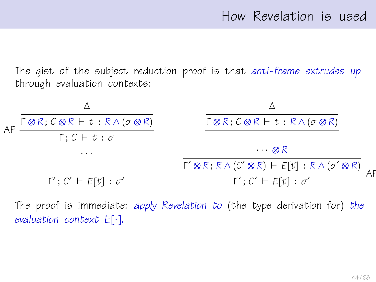The gist of the subject reduction proof is that anti-frame extrudes up through evaluation contexts:



The proof is immediate: apply Revelation to (the type derivation for) the evaluation context E[·].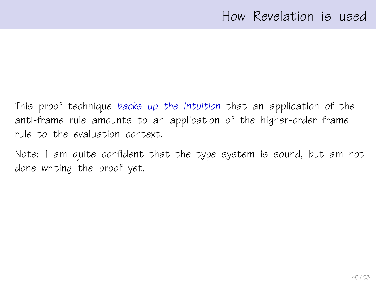This proof technique backs up the intuition that an application of the anti-frame rule amounts to an application of the higher-order frame rule to the evaluation context.

Note: I am quite confident that the type system is sound, but am not done writing the proof yet.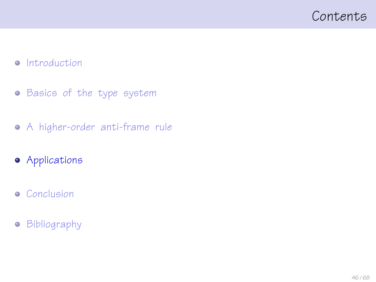### <span id="page-45-0"></span>Contents

#### • [Introduction](#page-1-0)

- **•** [Basics of the type system](#page-11-0)
- [A higher-order anti-frame rule](#page-22-0)
- **•** [Applications](#page-45-0)
- **•** [Conclusion](#page-57-0)
- **•** [Bibliography](#page-65-0)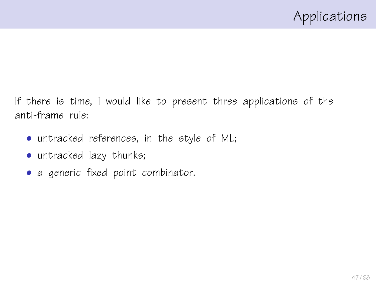If there is time, I would like to present three applications of the anti-frame rule:

- untracked references, in the style of ML;
- untracked lazy thunks;
- a generic fixed point combinator.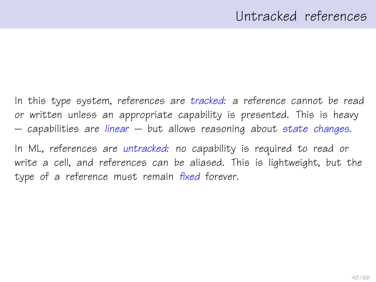In this type system, references are tracked: a reference cannot be read or written unless an appropriate capability is presented. This is heavy  $-$  capabilities are linear  $-$  but allows reasoning about state changes.

In ML, references are untracked: no capability is required to read or write a cell, and references can be aliased. This is lightweight, but the type of a reference must remain fixed forever.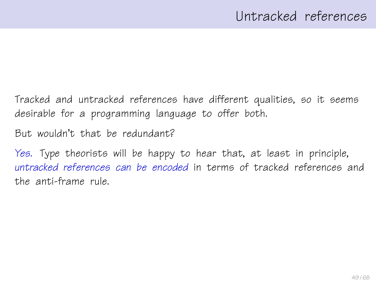Tracked and untracked references have different qualities, so it seems desirable for a programming language to offer both.

But wouldn't that be redundant?

Yes. Type theorists will be happy to hear that, at least in principle, untracked references can be encoded in terms of tracked references and the anti-frame rule.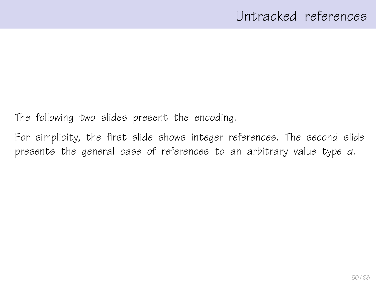The following two slides present the encoding.

For simplicity, the first slide shows integer references. The second slide presents the general case of references to an arbitrary value type α.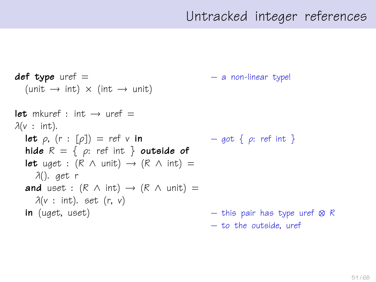## Untracked integer references

```
def type uref = - a non-linear type!
  (\text{unit} \rightarrow \text{int}) \times (\text{int} \rightarrow \text{unit})let mkuref \cdot int \rightarrow uref =\lambda(v : \text{int}).let \rho, (r : [\rho]) = ref \vee in – got \{\rho: ref \in \mathbb{R}\}\)hide R = \{ \rho: \text{ref int } \} outside of
  let uget : (R \wedge \text{unit}) \rightarrow (R \wedge \text{int}) =λ(). get r
  and uset : (R \wedge int) \rightarrow (R \wedge unit) =\lambda(v : \text{int}). set (r, v)in (uget, uset) – this pair has type uref ⊗ R
                                                       – to the outside, uref
```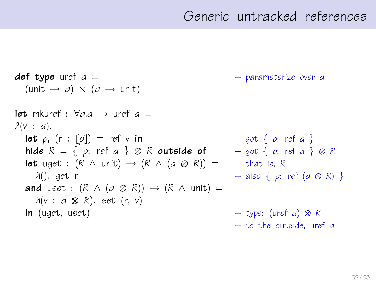## Generic untracked references

 $def\ type\ uref\ a =$  – parameterize over a  $(unit \rightarrow a) \times (a \rightarrow unit)$ let mkuref :  $\forall a.a \rightarrow$  uref  $a =$  $\lambda(v : a)$ . **let**  $\rho$ ,  $(r : [\rho]) = ref v$  in  $- qot \{ \rho : ref a \}$ hide  $R = \{ \rho: \text{ref } a \} \otimes R$  outside of  $\qquad - \text{got } \{ \rho: \text{ref } a \} \otimes R$ **let** uget :  $(R \wedge \text{unit}) \rightarrow (R \wedge (a \otimes R)) = -$  that is, R λ(). get r – also { ρ: ref (α ⊗ R) } **and** uset :  $(R \wedge (a \otimes R)) \rightarrow (R \wedge \text{unit}) =$  $\lambda(v : a \otimes R)$ . set (r, v) **in** (uget, uset) – type: (uref a)  $\otimes$  R – to the outside, uref α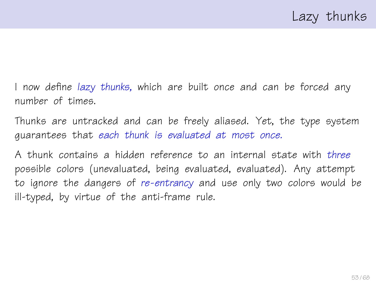I now define lazy thunks, which are built once and can be forced any number of times.

Thunks are untracked and can be freely aliased. Yet, the type system guarantees that each thunk is evaluated at most once.

A thunk contains a hidden reference to an internal state with three possible colors (unevaluated, being evaluated, evaluated). Any attempt to ignore the dangers of re-entrancy and use only two colors would be ill-typed, by virtue of the anti-frame rule.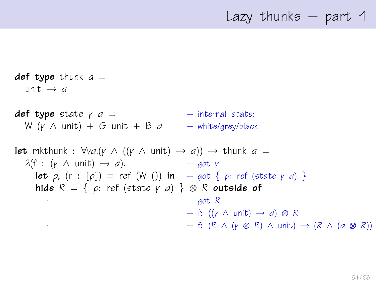## Lazy thunks – part 1

def type thunk  $a =$ unit  $\rightarrow$  a **def type** state  $y = a$  =  $-$  internal state: W (v  $\wedge$  unit) + G unit + B a – white/grey/black **let** mkthunk :  $\forall$ γ*a*.(γ  $\land$  ((γ  $\land$  unit)  $\rightarrow$  *a*))  $\rightarrow$  thunk *a* =  $\lambda(f : (y \wedge \text{unit}) \rightarrow a).$  – got y **let**  $\rho$ ,  $(r : [\rho]) = ref(W())$  in – got  $\{\rho: ref (state \gamma \alpha)\}\$ hide  $R = \{ \rho: \text{ref } (\text{state } \gamma \text{ a}) \} \otimes R$  outside of  $-$  got R  $\cdot$  – f:  $((\gamma \wedge \text{unit}) \rightarrow a) \otimes R$  $-$  f: (R ∧ (γ ⊗ R) ∧ unit) → (R ∧ (a ⊗ R))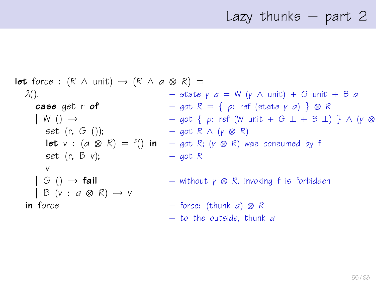# Lazy thunks – part 2

**let** force: 
$$
(R \wedge \text{unit}) \rightarrow (R \wedge a \otimes R) =
$$

\n $\lambda()$ .

\n**case** get  $r \circ f$ 

\n $\begin{array}{rcl}\n & - & \text{state } \gamma & a = W \ (\gamma \wedge \text{unit}) + G \text{ unit} + B \ a \\
& - & \text{got } R = \{ \rho : \text{ref } (\text{state } \gamma & a) \} \otimes R \\
& W \ (\text{)} \rightarrow & - & \text{got } \{ \rho : \text{ref } (W \text{ unit} + G \perp + B \perp) \} \land (\gamma \otimes R) \\
& = & \text{got } R \land (\gamma \otimes R) \\
& \text{let } v : (a \otimes R) = f() \text{ in } - & \text{got } R; (\gamma \otimes R) \text{ was consumed by } f \\
& & & - & \text{got } R \\
& & & & & \\
S \ (\text{G } () \rightarrow \text{fail}) & - & \text{without } \gamma \otimes R, \text{ invoking } f \text{ is forbidden} \\
& & & & & \\
\text{In force} & & & & - & \text{force: (thunk } a) \otimes R \\
& & & & & & \\
\text{To the outside, thunk } a\n \end{array}$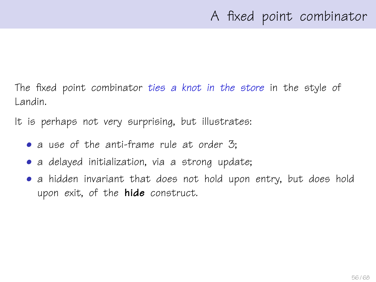The fixed point combinator ties a knot in the store in the style of Landin.

It is perhaps not very surprising, but illustrates:

- a use of the anti-frame rule at order 3;
- a delayed initialization, via a strong update;
- a hidden invariant that does not hold upon entry, but does hold upon exit, of the **hide** construct.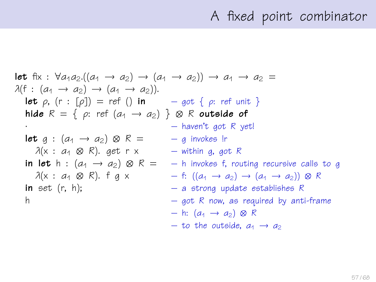## A fixed point combinator

let fix : 
$$
\forall a_1a_2.\left(\left(a_1 \rightarrow a_2\right) \rightarrow \left(a_1 \rightarrow a_2\right)\right) \rightarrow a_1 \rightarrow a_2 =
$$
  
\n $\lambda(f : (a_1 \rightarrow a_2) \rightarrow (a_1 \rightarrow a_2)).$   
\nlet  $\rho$ , (r : [p]) = ref () in – got {  $\rho$ : ref unit }  
\nhide R = {  $\rho$ : ref  $(a_1 \rightarrow a_2)$  }  $\otimes$  R outside of  
\n-- haven't got R yet  
\nlet g :  $(a_1 \rightarrow a_2) \otimes R = -g$  invokes!r  
\n $\lambda(x : a_1 \otimes R)$ . get r x – within g, got R  
\nin let h :  $(a_1 \rightarrow a_2) \otimes R = -h$  invokes f, routing recursive calls to g  
\n $\lambda(x : a_1 \otimes R)$ . f g x – f:  $((a_1 \rightarrow a_2) \rightarrow (a_1 \rightarrow a_2)) \otimes R$   
\nin set (r, h); – a strong update establishes R  
\n– got R now, as required by anti-frame  
\n– h:  $(a_1 \rightarrow a_2) \otimes R$   
\n– to the outside,  $a_1 \rightarrow a_2$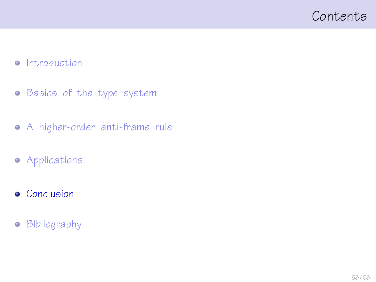### <span id="page-57-0"></span>Contents

#### • [Introduction](#page-1-0)

- **•** [Basics of the type system](#page-11-0)
- [A higher-order anti-frame rule](#page-22-0)
- **•** [Applications](#page-45-0)
- **•** [Conclusion](#page-57-0)
- **•** [Bibliography](#page-65-0)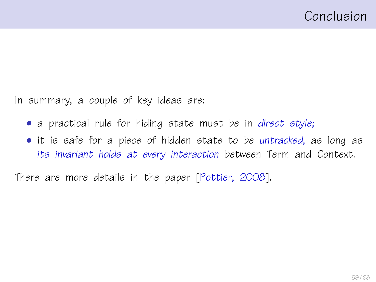In summary, a couple of key ideas are:

- a practical rule for hiding state must be in direct style;
- it is safe for a piece of hidden state to be untracked, as long as its invariant holds at every interaction between Term and Context.

There are more details in the paper [\[Pottier, 2008\]](#page-67-0).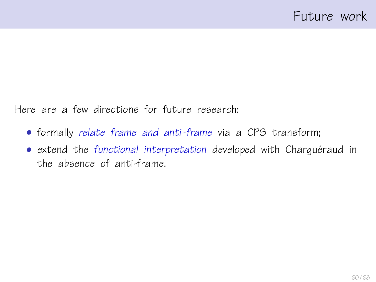Here are a few directions for future research:

- formally relate frame and anti-frame via a CPS transform;
- extend the functional interpretation developed with Charguéraud in the absence of anti-frame.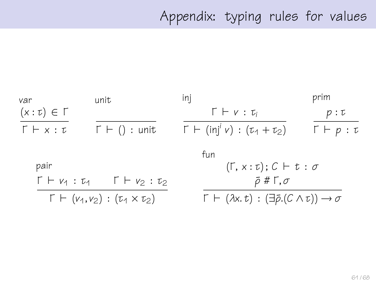# Appendix: typing rules for values

| var                                           | unit                                                          | inj                                                                                   | prim                     |
|-----------------------------------------------|---------------------------------------------------------------|---------------------------------------------------------------------------------------|--------------------------|
| $(x:\tau) \in \Gamma$                         |                                                               | $\Gamma \vdash v : \tau_i$                                                            | p:U                      |
| $\Gamma \vdash x : \tau$                      | $\Gamma \vdash () :$ unit                                     | $\Gamma$ + (inj <sup>i</sup> v) : ( $\tau_1$ + $\tau_2$ )                             | $\Gamma \vdash p : \tau$ |
|                                               |                                                               | fun                                                                                   |                          |
| pair                                          |                                                               | $(\Gamma, x : \tau); C \vdash t : \sigma$                                             |                          |
|                                               | $\Gamma \vdash v_1 : \tau_1 \quad \Gamma \vdash v_2 : \tau_2$ | $\bar{\rho}$ # Г, $\sigma$                                                            |                          |
| $\Gamma \vdash (v_1, v_2) : (v_1 \times v_2)$ |                                                               | $\Gamma \vdash (\lambda x. t) : (\exists \bar{\rho}.(C \wedge t)) \rightarrow \sigma$ |                          |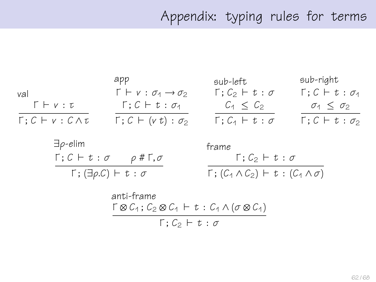# Appendix: typing rules for terms

|                                                      | арр                                               | sub-left                             | sub-right                          |
|------------------------------------------------------|---------------------------------------------------|--------------------------------------|------------------------------------|
| val                                                  | $\Gamma \vdash v : \sigma_1 \rightarrow \sigma_2$ | $\Gamma$ ; $C_2$ $\vdash t : \sigma$ | $\Gamma$ ; $C \vdash t : \sigma_1$ |
| $\Gamma \vdash v : \tau$                             | $\Gamma$ ; $C \vdash t : \sigma_1$                | $C_1 \leq C_2$                       | $\sigma_1 \leq \sigma_2$           |
| $\Gamma: \mathcal{C} \vdash v: \mathcal{C} \wedge v$ | $\Gamma$ ; $C \vdash (v t) : \sigma_2$            | $\Gamma$ ; $C_1 \vdash t : \sigma$   | $\Gamma$ ; $C \vdash t : \sigma_2$ |

| $\exists \rho$ -elim                                   | frame                                                            |
|--------------------------------------------------------|------------------------------------------------------------------|
| $\Gamma; C \vdash t : \sigma$ $\rho \# \Gamma, \sigma$ | $\Gamma: \mathcal{C}_2 \vdash t : \sigma$                        |
| $\Gamma$ ; ( $\exists \rho$ .C) $\vdash t : \sigma$    | $\Gamma$ ; $(C_1 \wedge C_2)$ $\vdash t$ : $(C_1 \wedge \sigma)$ |

$$
\text{anti-frame}\atop \Gamma \otimes C_1; C_2 \otimes C_1 \vdash t: C_1 \wedge (\sigma \otimes C_1) \Gamma; C_2 \vdash t: \sigma
$$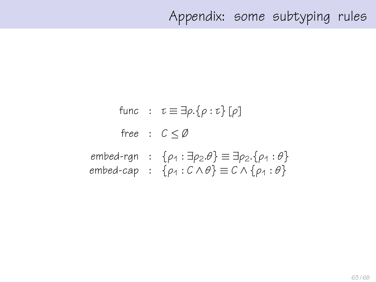## Appendix: some subtyping rules

func :  $\tau \equiv \exists \rho . \{\rho : \tau\} [\rho]$ free :  $C < \emptyset$ embed-rgn :  $\{\rho_1 : \exists \rho_2 \theta\} \equiv \exists \rho_2 \cdot \{\rho_1 : \theta\}$ embed-cap :  $\{\rho_1 : C \wedge \theta\} \equiv C \wedge \{\rho_1 : \theta\}$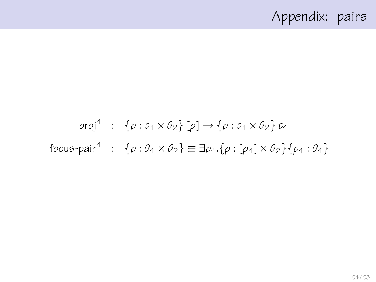# Appendix: pairs

# proj $1$  :  $\{\rho : \tau_1 \times \theta_2\}$  [ $\rho$ ]  $\rightarrow \{\rho : \tau_1 \times \theta_2\}$   $\tau_1$ focus-pair<sup>1</sup> :  $\{\rho : \theta_1 \times \theta_2\} \equiv \exists \rho_1.\{\rho : [\rho_1] \times \theta_2\} \{\rho_1 : \theta_1\}$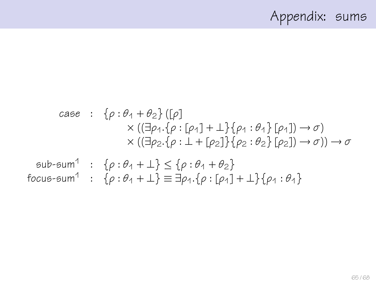# Appendix: sums

case : 
$$
\{\rho : \theta_1 + \theta_2\}
$$
 ([p]  
\n $\times$  (( $\exists \rho_1 \cdot \{\rho : [\rho_1] + \bot\}$  { $\rho_1 : \theta_1\}$  [ $\rho_1$ ])  $\rightarrow \sigma$ )  
\n $\times$  (( $\exists \rho_2 \cdot \{\rho : \bot + [\rho_2]\}$  { $\{\rho_2 : \theta_2\}$  [ $\rho_2$ ])  $\rightarrow \sigma$ ))  $\rightarrow \sigma$   
\nsub-sum<sup>1</sup> : { $\rho : \theta_1 + \bot\}$   $\leq \{\rho : \theta_1 + \theta_2\}$   
\nfocus-sum<sup>1</sup> : { $\rho : \theta_1 + \bot\}$   $\equiv \exists \rho_1 \cdot \{\rho : [\rho_1] + \bot\}$  { $\rho_1 : \theta_1$ }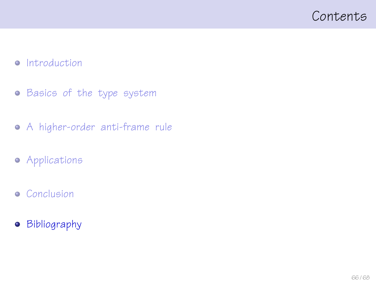### <span id="page-65-0"></span>Contents

#### • [Introduction](#page-1-0)

- **•** [Basics of the type system](#page-11-0)
- [A higher-order anti-frame rule](#page-22-0)
- **•** [Applications](#page-45-0)
- **•** [Conclusion](#page-57-0)
- **•** [Bibliography](#page-65-0)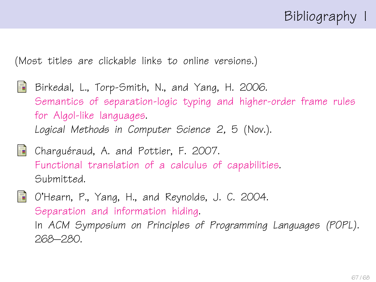# Bibliography I

(Most titles are clickable links to online versions.)

- <span id="page-66-1"></span>量 Birkedal, L., Torp-Smith, N., and Yang, H. 2006. [Semantics of separation-logic typing and higher-order frame rules](http://arxiv.org/pdf/cs.LO/0610081) [for Algol-like languages.](http://arxiv.org/pdf/cs.LO/0610081) Logical Methods in Computer Science 2, 5 (Nov.).
- 

<span id="page-66-2"></span>**Charguéraud, A. and Pottier, F. 2007.** [Functional translation of a calculus of capabilities.](http://cristal.inria.fr/~fpottier/publis/chargueraud-pottier-capabilities.pdf) Submitted.

<span id="page-66-0"></span>O'Hearn, P., Yang, H., and Reynolds, J. C. 2004. [Separation and information hiding.](http://www.dcs.qmul.ac.uk/~ohearn/papers/separation-and-hiding.pdf) In ACM Symposium on Principles of Programming Languages (POPL). 268–280.